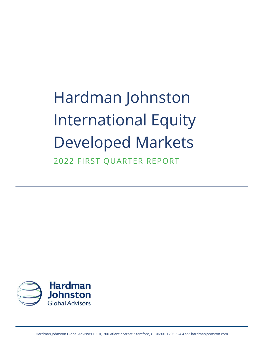Hardman Johnston International Equity Developed Markets 2022 FIRST QUARTER REPORT

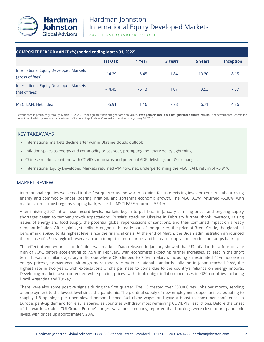

2022 FIRST QUARTER REPORT

| COMPOSITE PERFORMANCE (%) (period ending March 31, 2022)  |                |         |                |         |                  |  |  |  |
|-----------------------------------------------------------|----------------|---------|----------------|---------|------------------|--|--|--|
|                                                           | <b>1st OTR</b> | 1 Year  | <b>3 Years</b> | 5 Years | <b>Inception</b> |  |  |  |
| International Equity Developed Markets<br>(gross of fees) | $-14.29$       | $-5.45$ | 11.84          | 10.30   | 8.15             |  |  |  |
| International Equity Developed Markets<br>(net of fees)   | $-14.45$       | $-6.13$ | 11.07          | 9.53    | 7.37             |  |  |  |
| MSCI EAFE Net Index                                       | $-5.91$        | 1.16    | 7.78           | 6.71    | 4.86             |  |  |  |

Performance is preliminary through March 31, 2022. Periods greater than one year are annualized. **Past performance does not guarantee future results.** Net performance reflects the deduction of advisory fees and reinvestment of income (if applicable). Composite inception date: January 31, 2014.

## KEY TAKEAWAYS

- International markets decline after war in Ukraine clouds outlook
- Inflation spikes as energy and commodity prices soar, prompting monetary policy tightening
- Chinese markets contend with COVID shutdowns and potential ADR delistings on US exchanges
- International Equity Developed Markets returned –14.45%, net, underperforming the MSCI EAFE return of –5.91%

### MARKET REVIEW

International equities weakened in the first quarter as the war in Ukraine fed into existing investor concerns about rising energy and commodity prices, soaring inflation, and softening economic growth. The MSCI ACWI returned -5.36%, with markets across most regions slipping back, while the MSCI EAFE returned -5.91%.

After finishing 2021 at or near record levels, markets began to pull back in January as rising prices and ongoing supply shortages began to temper growth expectations. Russia's attack on Ukraine in February further shook investors, raising issues of energy and food supply, the potential global repercussions of sanctions, and their combined impact on already rampant inflation. After gaining steadily throughout the early part of the quarter, the price of Brent Crude, the global oil benchmark, spiked to its highest level since the financial crisis. At the end of March, the Biden administration announced the release of US strategic oil reserves in an attempt to control prices and increase supply until production ramps back up.

The effect of energy prices on inflation was marked. Data released in January showed that US inflation hit a four-decade high of 7.0%, before accelerating to 7.9% in February, with economists expecting further increases, at least in the short term. It was a similar trajectory in Europe where CPI climbed to 7.5% in March, including an estimated 45% increase in energy prices year-over-year. Although more moderate by international standards, inflation in Japan reached 0.8%, the highest rate in two years, with expectations of sharper rises to come due to the country's reliance on energy imports. Developing markets also contended with spiraling prices, with double-digit inflation increases in G20 countries including Brazil, Argentina and Turkey.

There were also some positive signals during the first quarter. The US created over 500,000 new jobs per month, sending unemployment to the lowest level since the pandemic. The plentiful supply of new employment opportunities, equating to roughly 1.8 openings per unemployed person, helped fuel rising wages and gave a boost to consumer confidence. In Europe, pent-up demand for leisure soared as countries withdrew most remaining COVID-19 restrictions. Before the onset of the war in Ukraine, TUI Group, Europe's largest vacations company, reported that bookings were close to pre-pandemic levels, with prices up approximately 20%.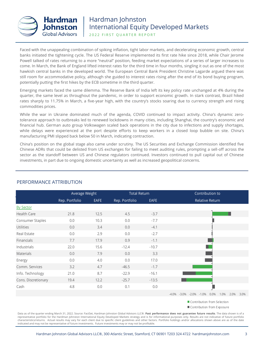

2022 FIRST QUARTER REPORT

Faced with the unappealing combination of spiking inflation, tight labor markets, and decelerating economic growth, central banks initiated the tightening cycle. The US Federal Reserve implemented its first rate hike since 2018, while Chair Jerome Powell talked of rates returning to a more "neutral" position, feeding market expectations of a series of larger increases to come. In March, the Bank of England lifted interest rates for the third time in four months, singling it out as one of the most hawkish central banks in the developed world. The European Central Bank President Christine Lagarde argued there was still room for accommodative policy, although she guided to interest rates rising after the end of its bond buying program, potentially putting the first hikes by the ECB sometime in the third quarter.

Emerging markets faced the same dilemma. The Reserve Bank of India left its key policy rate unchanged at 4% during the quarter, the same level as throughout the pandemic, in order to support economic growth. In stark contrast, Brazil hiked rates sharply to 11.75% in March, a five-year high, with the country's stocks soaring due to currency strength and rising commodities prices.

While the war in Ukraine dominated much of the agenda, COVID continued to impact activity. China's dynamic zerotolerance approach to outbreaks led to renewed lockdowns in many cities, including Shanghai, the country's economic and financial hub. German auto group Volkswagen scaled back operations in the city due to infections and supply shortages, while delays were experienced at the port despite efforts to keep workers in a closed loop bubble on site. China's manufacturing PMI slipped back below 50 in March, indicating contraction.

China's position on the global stage also came under scrutiny. The US Securities and Exchange Commission identified five Chinese ADRs that could be delisted from US exchanges for failing to meet auditing rules, prompting a sell-off across the sector as the standoff between US and Chinese regulators continued. Investors continued to pull capital out of Chinese investments, in part due to ongoing domestic uncertainty as well as increased geopolitical concerns.

|                     | Average Weight |      | <b>Total Return</b> |         | Contribution to                                                  |
|---------------------|----------------|------|---------------------|---------|------------------------------------------------------------------|
|                     | Rep. Portfolio | EAFE | Rep. Portfolio      | EAFE    | <b>Relative Return</b>                                           |
| <b>By Sector</b>    |                |      |                     |         |                                                                  |
| Health Care         | 21.8           | 12.5 | 4.5                 | $-3.7$  |                                                                  |
| Consumer Staples    | 0.0            | 10.3 | 0.0                 | $-7.7$  |                                                                  |
| Utilities           | 0.0            | 3.4  | 0.0                 | $-4.1$  |                                                                  |
| Real Estate         | 0.0            | 2.9  | 0.0                 | $-2.7$  |                                                                  |
| Financials          | 7.7            | 17.9 | 0.9                 | $-1.1$  |                                                                  |
| Industrials         | 22.0           | 15.6 | $-12.4$             | $-10.7$ |                                                                  |
| <b>Materials</b>    | 0.0            | 7.9  | 0.0                 | 3.3     |                                                                  |
| Energy              | 0.0            | 4.0  | 0.0                 | 17.0    |                                                                  |
| Comm. Services      | 3.2            | 4.7  | $-46.5$             | $-1.7$  |                                                                  |
| Info. Technology    | 21.0           | 8.7  | $-22.9$             | $-16.1$ |                                                                  |
| Cons. Discretionary | 19.4           | 12.2 | $-25.7$             | $-13.5$ |                                                                  |
| Cash                | 4.8            | 0.0  | 0.1                 | 0.0     |                                                                  |
|                     |                |      |                     |         | $-4.0\%$ $-3.0\%$ $-2.0\%$ $-1.0\%$<br>0.0%<br>1.0%<br>2.0% 3.0% |

### PERFORMANCE ATTRIBUTION

Contribution from Selection

Contribution from Exposure

Data as of the quarter ending March 31, 2022. Source: FactSet, Hardman Johnston Global Advisors LLC®. **Past performance does not guarantee future results**. The data shown is of a representative portfolio for the Hardman Johnston International Equity Developed Markets strategy and is for informational purposes only. Results are not indicative of future portfolio characteristics/returns. Actual results may vary for each client due to specific client guidelines and other factors. Portfolio holdings and/or allocations shown above are as of the date indicated and may not be representative of future investments. Future investments may or may not be profitable.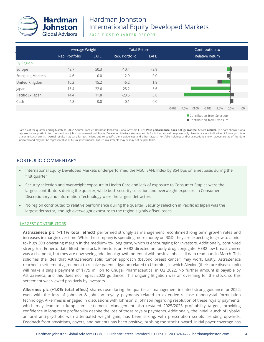

2022 FIRST QUARTER REPORT

|                         | Average Weight |      | <b>Total Return</b> |             | Contribution to |          |                                                           |                        |         |      |      |
|-------------------------|----------------|------|---------------------|-------------|-----------------|----------|-----------------------------------------------------------|------------------------|---------|------|------|
|                         | Rep. Portfolio | EAFE | Rep. Portfolio      | <b>EAFE</b> |                 |          |                                                           | <b>Relative Return</b> |         |      |      |
| <b>By Region</b>        |                |      |                     |             |                 |          |                                                           |                        |         |      |      |
| Europe                  | 49.7           | 50.3 | $-10.4$             | $-9.9$      |                 |          |                                                           |                        |         |      |      |
| <b>Emerging Markets</b> | 4.6            | 0.0  | $-12.9$             | 0.0         |                 |          |                                                           |                        |         |      |      |
| United Kingdom          | 10.2           | 15.2 | $-6.2$              | 1.8         |                 |          |                                                           |                        |         |      |      |
| Japan                   | 16.4           | 22.6 | $-25.2$             | $-6.6$      |                 |          |                                                           |                        |         |      |      |
| Pacific Ex Japan        | 14.4           | 11.8 | $-23.5$             | 3.8         |                 |          |                                                           |                        |         |      |      |
| Cash                    | 4.8            | 0.0  | 0.1                 | 0.0         |                 |          |                                                           |                        |         |      |      |
|                         |                |      |                     |             | $-5.0%$         | $-4.0\%$ | $-3.0\%$                                                  | $-2.0%$                | $-1.0%$ | 0.0% | 1.0% |
|                         |                |      |                     |             |                 |          | Contribution from Selection<br>Contribution from Exposure |                        |         |      |      |

Data as of the quarter ending March 31, 2022. Source: FactSet, Hardman Johnston Global Advisors LLC®. **Past performance does not guarantee future results**. The data shown is of a representative portfolio for the Hardman Johnston International Equity Developed Markets strategy and is for informational purposes only. Results are not indicative of future portfolio characteristics/returns. Actual results may vary for each client due to specific client guidelines and other factors. Portfolio holdings and/or allocations shown above are as of the date indicated and may not be representative of future investments. Future investments may or may not be profitable.

## PORTFOLIO COMMENTARY

- International Equity Developed Markets underperformed the MSCI EAFE Index by 854 bps on a net basis during the first quarter
- Security selection and overweight exposure in Health Care and lack of exposure to Consumer Staples were the largest contributors during the quarter, while both security selection and overweight exposure in Consumer Discretionary and Information Technology were the largest detractors
- No region contributed to relative performance during the quarter. Security selection in Pacific ex Japan was the largest detractor, though overweight exposure to the region slightly offset losses

#### LARGEST CONTRIBUTORS

**AstraZeneca plc (+1.1% total effect)** performed strongly as management reconfirmed long term growth rates and increases in margin over time. While the company is spending more money on R&D, they are expecting to grow to a midto- high 30's operating margin in the medium- to- long term, which is encouraging for investors. Additionally, continued strength in Enhertu data lifted the stock. Enhertu is an HER2-directed antibody drug conjugate. HER2 low breast cancer was a risk point, but they are now seeing additional growth potential with positive phase III data read outs in March. This solidifies the idea that AstraZeneca's solid tumor approach (beyond breast cancer) may work. Lastly, AstraZeneca reached a settlement agreement to resolve patent litigation related to Ultomiris, in which Alexion (their rare disease unit) will make a single payment of \$775 million to Chugai Pharmaceutical in Q2 2022. No further amount is payable by AstraZeneca, and this does not impact 2022 guidance. This ongoing litigation was an overhang for the stock, so this settlement was viewed positively by investors.

**Alkermes plc (+1.0% total effect)** shares rose during the quarter as management initiated strong guidance for 2022, even with the loss of Johnson & Johnson royalty payments related to extended-release nanocrystal formulation technology. Alkermes is engaged in discussions with Johnson & Johnson regarding resolution of these royalty payments, which may lead to a lump sum settlement. Management also restated 2025/2026 profitability targets, providing confidence in long-term profitability despite the loss of those royalty payments. Additionally, the initial launch of Lybalvi, an oral anti-psychotic with attenuated weight gain, has been strong, with prescription scripts trending upwards. Feedback from physicians, payers, and patients has been positive, pushing the stock upward. Initial payer coverage has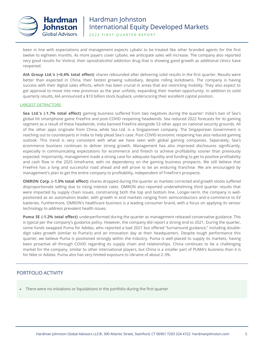

2022 FIRST QUARTER REPORT

been in line with expectations and management expects Lybalvi to be treated like other branded agents for the first twelve to eighteen months. As more payers cover Lybalvi, we anticipate sales will increase. The company also reported very good results for Vivitrol, their opioid/alcohol addiction drug that is showing good growth as additional clinics have reopened.

**AIA Group Ltd.'s (+0.4% total effect)** shares rebounded after delivering solid results in the first quarter. Results were better than expected in China, their fastest growing subsidiary, despite rolling lockdowns. The company is having success with their digital sales efforts, which has been crucial in areas that are restricting mobility. They also expect to get approval to move into new provinces as the year unfolds, expanding their market opportunity. In addition to solid quarterly results, AIA announced a \$10 billion stock buyback, underscoring their excellent capital position.

#### LARGEST DETRACTORS

**Sea Ltd.'s (-1.7% total effect)** gaming business suffered from two negatives during the quarter: India's ban of Sea's global hit smartphone game FreeFire and post-COVID reopening headwinds. Sea reduced 2022 forecasts for its gaming segment as a result of these headwinds. India banned FreeFire alongside 53 other apps on national security grounds. All of the other apps originate from China, while Sea Ltd. is a Singaporean company. The Singaporean Government is reaching out to counterparts in India to help plead Sea's case. Post-COVID economic reopening has also reduced gaming outlook. This trend is very consistent with what we have seen with global gaming companies. Separately, Sea's ecommerce business continues to deliver strong growth. Management has also improved disclosures significantly, especially in communicating expectations for ecommerce and fintech to achieve profitability sooner than previously expected. Importantly, management made a strong case for adequate liquidity and funding to get to positive profitability and cash flow in the 2025 timeframe, with no dependency on the gaming business prospects. We still believe that FreeFire has a long and successful road ahead and will prove to be an enduring franchise. We are encouraged by management's plan to get the entire company to profitability, independent of FreeFire's prospects.

**OMRON Corp. (–1.5% total effect)** shares dropped during the quarter as markets corrected and growth stocks suffered disproportionate selling due to rising interest rates. OMRON also reported underwhelming third quarter results that were impacted by supply chain issues, constraining both the top and bottom line. Longer-term, the company is wellpositioned as an automation leader, with growth in end markets ranging from semiconductors and e-commerce to EV batteries. Furthermore, OMRON's healthcare business is a leading consumer brand, with a focus on applying its sensor technology to address prevalent health issues.

**Puma SE (-1.2% total effect)** underperformed during the quarter as management released conservative guidance. This is typical per the company's guidance policy. However, the company did report a strong end to 2021. During the quarter, some funds swapped Puma for Adidas, who reported a bad 2021 but offered "turnaround guidance," including doubledigit sales growth (similar to Puma's) and an innovation day at their headquarters. Despite tough performance this quarter, we believe Puma is positioned strongly within the industry. Puma is well-placed to supply its markets, having been proactive all through COVID regarding its supply chain and relationships. China continues to be a challenging market for the company, similar to other international players, but China is a smaller part of PUMA's business than it is for Nike or Adidas. Puma also has very limited exposure to Ukraine of about 2-3%.

### PORTFOLIO ACTIVITY

• There were no initiations or liquidations in the portfolio during the first quarter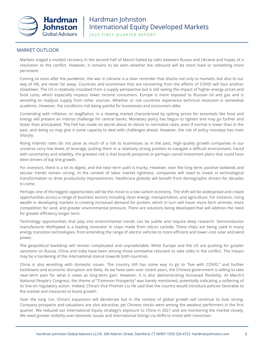

2022 FIRST QUARTER REPORT

## MARKET OUTLOOK

Markets staged a modest recovery in the second half of March fueled by talks between Russia and Ukraine and hopes of a resolution to the conflict. However, it remains to be seen whether the rebound will be short lived or something more persistent.

Coming so soon after the pandemic, the war in Ukraine is a clear reminder that shocks not only to markets, but also to our way of life, are never far away. Countries and economies that are recovering from the effects of COVID will face another slowdown. The US is relatively insulated from a supply perspective but is still seeing the impact of higher energy prices and food costs, which especially impacts lower income consumers. Europe is more exposed to Russian oil and gas and is wrestling to readjust supply from other sources. Whether or not countries experience technical recession is somewhat academic. However, the conditions risk being painful for businesses and consumers alike.

Contending with inflation, or stagflation, in a slowing market characterized by spiking prices for essentials like food and energy will present an intense challenge for central banks. Monetary policy has begun to tighten and may go further and faster than anticipated. The Fed has made no secret about its desire to normalize rates, even if normal is lower than in the past, and doing so may give it some capacity to deal with challenges ahead. However, the risk of policy missteps has risen sharply.

Rising interest rates do not pose as much of a risk to businesses as in the past. High-quality growth companies in our universe carry low levels of leverage, putting them in a relatively strong position to navigate a difficult environment. Faced with uncertainty and volatility, the greatest risk is that boards postpone or perhaps cancel investment plans that could have been drivers of top line growth.

For investors, there is a lot to digest, and the near-term path is murky. However, over the long term, positive tailwinds and secular trends remain strong. In the context of labor market tightness, companies will need to invest in technological transformation to drive productivity improvements. Healthcare globally will benefit from demographic drivers for decades to come.

Perhaps one of the biggest opportunities will be the move to a low carbon economy. The shift will be widespread and create opportunities across a range of business sectors including clean energy, transportation, and agriculture. For instance, rising wealth in developing markets is creating increased demand for protein, which in turn will mean more farm animals, more competition for land, and greater environmental pressure. There are solutions being developed that will address the need for greater efficiency longer term.

Technology opportunities that play into environmental trends can be subtle and require deep research. Semiconductor manufacturer Wolfspeed is a leading innovator in chips made from silicon carbide. These chips are being used in many energy transition technologies, from extending the range of electric vehicles to more efficient and lower-cost solar and wind power.

The geopolitical backdrop will remain complicated and unpredictable. While Europe and the US are pushing for greater sanctions on Russia, China and India have been among those somewhat reluctant to take sides in the conflict. The impact may be a hardening of the international stance towards both countries.

China is also wrestling with domestic issues. The country still has some way to go to "live with COVID," and further lockdowns and economic disruption are likely. As we have seen over recent years, the Chinese government is willing to take near-term pain for what it views as long-term gain. However, it is also demonstrating increased flexibility. At March's National People's Congress, the theme of "Common Prosperity" was barely mentioned, potentially indicating a softening of its line on regulatory action. Indeed, China's Vice Premier Liu He said that the country would introduce policies favorable to the market and measures to boost growth.

Over the long run, China's expansion will decelerate but in the context of global growth will continue to look strong. Company prospects and valuations are also attractive, yet Chinese stocks were among the weakest performers in the first quarter. We reduced our International Equity strategy's exposure to China in 2021 and are monitoring the market closely. We need greater visibility over domestic issues and international listings via ADRs to invest with conviction.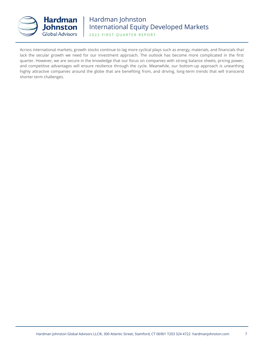

2022 FIRST QUARTER REPORT

Across international markets, growth stocks continue to lag more cyclical plays such as energy, materials, and financials that lack the secular growth we need for our investment approach. The outlook has become more complicated in the first quarter. However, we are secure in the knowledge that our focus on companies with strong balance sheets, pricing power, and competitive advantages will ensure resilience through the cycle. Meanwhile, our bottom-up approach is unearthing highly attractive companies around the globe that are benefiting from, and driving, long-term trends that will transcend shorter term challenges.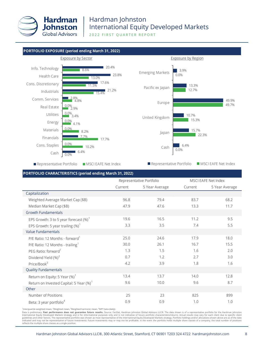

2022 FIRST QUARTER REPORT



#### **PORTFOLIO CHARACTERISTICS (period ending March 31, 2022)**

|                                                     |         | Representative Portfolio |         | <b>MSCI EAFE Net Index</b> |
|-----------------------------------------------------|---------|--------------------------|---------|----------------------------|
|                                                     | Current | 5 Year Average           | Current | 5 Year Average             |
| Capitalization                                      |         |                          |         |                            |
| Weighted Average Market Cap (\$B)                   | 96.8    | 79.4                     | 83.7    | 68.2                       |
| Median Market Cap (\$B)                             | 47.9    | 47.6                     | 13.3    | 11.7                       |
| <b>Growth Fundamentals</b>                          |         |                          |         |                            |
| EPS Growth: 3 to 5 year forecast $(\%)^1$           | 19.6    | 16.5                     | 11.2    | 9.5                        |
| EPS Growth: 5 year trailing $(\%)^1$                | 3.3     | 3.5                      | 7.4     | 5.5                        |
| <b>Value Fundamentals</b>                           |         |                          |         |                            |
| P/E Ratio: 12 Months - forward <sup>1</sup>         | 25.0    | 24.6                     | 17.9    | 18.0                       |
| P/E Ratio: 12 Months - trailing <sup>1</sup>        | 30.0    | 26.1                     | 16.7    | 15.5                       |
| PEG Ratio: forward <sup>1</sup>                     | 1.3     | 1.5                      | 1.6     | 2.0                        |
| Dividend Yield (%) <sup>2</sup>                     | 0.7     | 1.2                      | 2.7     | 3.0                        |
| Price/Book <sup>3</sup>                             | 4.2     | 3.9                      | 1.8     | 1.6                        |
| <b>Quality Fundamentals</b>                         |         |                          |         |                            |
| Return on Equity: 5 Year $(\%)^1$                   | 13.4    | 13.7                     | 14.0    | 12.8                       |
| Return on Invested Capital: 5 Year (%) <sup>1</sup> | 9.6     | 10.0                     | 9.6     | 8.7                        |
| Other                                               |         |                          |         |                            |
| Number of Positions                                 | 25      | 23                       | 825     | 899                        |
| Beta: 3 year portfolio <sup>4</sup>                 | 0.9     | 0.9                      | 1.0     | 1.0                        |

<sup>1</sup> Interquartile weighted mean, <sup>2</sup> Weighted mean, <sup>3</sup> Weighted harmonic mean, <sup>4</sup> MPT beta (daily).

Data is preliminary. Past performance does not guarantee future results. Source: FactSet, Hardman Johnston Global Advisors LLC®. The data shown is of a representative portfolio for the Hardman Johnston International Equity Developed Markets strategy and is for informational purposes only and is not indicative of future portfolio characteristics/returns. Actual results may vary for each client due to specific client guidelines and other factors. The representative portfolio was chosen as most representative of the International Equity Developed Markets strategy. Portfolio holdings and/or allocations shown above are as of the date<br>indi reflects the multiple share classes as a single position.